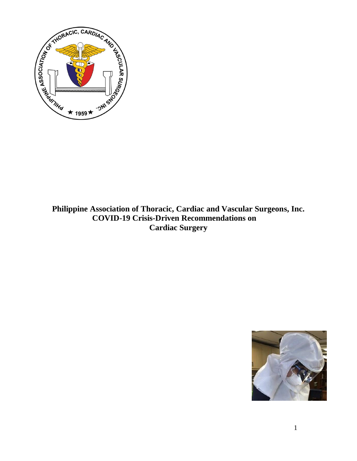

# **Philippine Association of Thoracic, Cardiac and Vascular Surgeons, Inc. COVID-19 Crisis-Driven Recommendations on Cardiac Surgery**

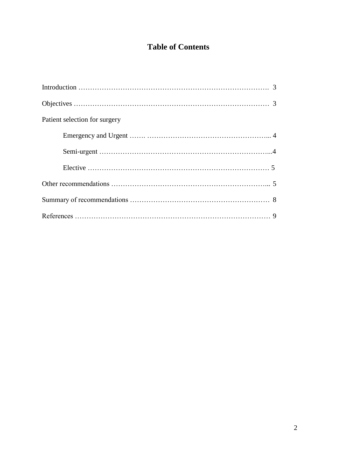# **Table of Contents**

| Patient selection for surgery |
|-------------------------------|
|                               |
|                               |
|                               |
|                               |
|                               |
|                               |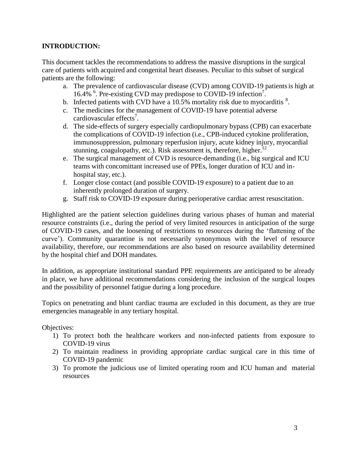## **INTRODUCTION:**

This document tackles the recommendations to address the massive disruptions in the surgical care of patients with acquired and congenital heart diseases. Peculiar to this subset of surgical patients are the following:

- a. The prevalence of cardiovascular disease (CVD) among COVID-19 patients is high at 16.4% <sup>6</sup>. Pre-existing CVD may predispose to COVID-19 infection<sup>7</sup>.
- b. Infected patients with CVD have a 10.5% mortality risk due to myocarditis  $\frac{8}{3}$ .
- c. The medicines for the management of COVID-19 have potential adverse cardiovascular effects<sup>7</sup>.
- d. The side-effects of surgery especially cardiopulmonary bypass (CPB) can exacerbate the complications of COVID-19 infection (i.e., CPB-induced cytokine proliferation, immunosuppression, pulmonary reperfusion injury, acute kidney injury, myocardial stunning, coagulopathy, etc.). Risk assessment is, therefore, higher.<sup>12</sup>
- e. The surgical management of CVD is resource-demanding (i.e., big surgical and ICU teams with concomittant increased use of PPEs, longer duration of ICU and inhospital stay, etc.).
- f. Longer close contact (and possible COVID-19 exposure) to a patient due to an inherently prolonged duration of surgery.
- g. Staff risk to COVID-19 exposure during perioperative cardiac arrest resuscitation.

Highlighted are the patient selection guidelines during various phases of human and material resource constraints (i.e., during the period of very limited resources in anticipation of the surge of COVID-19 cases, and the loosening of restrictions to resources during the 'flattening of the curve'). Community quarantine is not necessarily synonymous with the level of resource availability, therefore, our recommendations are also based on resource availability determined by the hospital chief and DOH mandates.

In addition, as appropriate institutional standard PPE requirements are anticipated to be already in place, we have additional recommendations considering the inclusion of the surgical loupes and the possibility of personnel fatigue during a long procedure.

Topics on penetrating and blunt cardiac trauma are excluded in this document, as they are true emergencies manageable in any tertiary hospital.

Objectives:

- 1) To protect both the healthcare workers and non-infected patients from exposure to COVID-19 virus
- 2) To maintain readiness in providing appropriate cardiac surgical care in this time of COVID-19 pandemic
- 3) To promote the judicious use of limited operating room and ICU human and material resources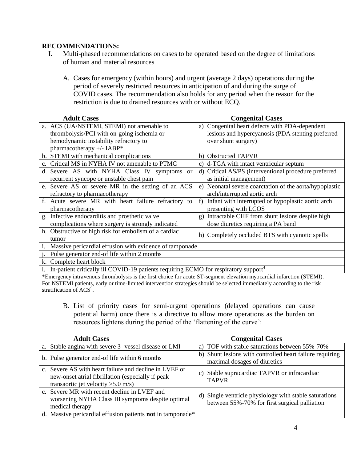## **RECOMMENDATIONS:**

- I. Multi-phased recommendations on cases to be operated based on the degree of limitations of human and material resources
	- A. Cases for emergency (within hours) and urgent (average 2 days) operations during the period of severely restricted resources in anticipation of and during the surge of COVID cases. The recommendation also holds for any period when the reason for the restriction is due to drained resources with or without ECQ.

| <b>Adult Cases</b>                                                                  | <b>Congenital Cases</b>                                 |  |
|-------------------------------------------------------------------------------------|---------------------------------------------------------|--|
| a. ACS (UA/NSTEMI, STEMI) not amenable to                                           | a) Congenital heart defects with PDA-dependent          |  |
| thrombolysis/PCI with on-going ischemia or                                          | lesions and hypercyanosis (PDA stenting preferred       |  |
| hemodynamic instability refractory to                                               | over shunt surgery)                                     |  |
| pharmacotherapy +/- IABP*                                                           |                                                         |  |
| b. STEMI with mechanical complications                                              | b) Obstructed TAPVR                                     |  |
| Critical MS in NYHA IV not amenable to PTMC                                         | d-TGA with intact ventricular septum                    |  |
| d. Severe AS with NYHA Class IV symptoms or                                         | d) Critical AS/PS (interventional procedure preferred   |  |
| recurrent syncope or unstable chest pain                                            | as initial management)                                  |  |
| e. Severe AS or severe MR in the setting of an ACS                                  | e) Neonatal severe coarctation of the aorta/hypoplastic |  |
| refractory to pharmacotherapy                                                       | arch/interrupted aortic arch                            |  |
| f. Acute severe MR with heart failure refractory to                                 | f) Infant with interrupted or hypoplastic aortic arch   |  |
| pharmacotherapy                                                                     | presenting with LCOS                                    |  |
| g. Infective endocarditis and prosthetic valve                                      | g) Intractable CHF from shunt lesions despite high      |  |
| complications where surgery is strongly indicated                                   | dose diuretics requiring a PA band                      |  |
| h. Obstructive or high risk for embolism of a cardiac                               | h) Completely occluded BTS with cyanotic spells         |  |
| tumor                                                                               |                                                         |  |
| Massive pericardial effusion with evidence of tamponade<br>i.                       |                                                         |  |
| Pulse generator end-of life within 2 months                                         |                                                         |  |
| k. Complete heart block                                                             |                                                         |  |
| $1 - I0$ patient quitically ill COVID 10 patients requiring $ECMO$ for requirements |                                                         |  |

l. In-patient critically ill COVID-19 patients requiring ECMO for respiratory support<sup>4</sup>

\*Emergency intravenous thrombolysis is the first choice for acute ST-segment elevation myocardial infarction (STEMI). For NSTEMI patients, early or time-limited intervention strategies should be selected immediately according to the risk stratification of ACS<sup>9</sup>.

B. List of priority cases for semi-urgent operations (delayed operations can cause potential harm) once there is a directive to allow more operations as the burden on resources lightens during the period of the 'flattening of the curve':

| <b>Adult Cases</b>                                                                                                                                  | <b>Congenital Cases</b>                                                                                 |
|-----------------------------------------------------------------------------------------------------------------------------------------------------|---------------------------------------------------------------------------------------------------------|
| a. Stable angina with severe 3- vessel disease or LMI                                                                                               | a) TOF with stable saturations between 55%-70%                                                          |
| b. Pulse generator end-of life within 6 months                                                                                                      | b) Shunt lesions with controlled heart failure requiring<br>maximal dosages of diuretics                |
| c. Severe AS with heart failure and decline in LVEF or<br>new-onset atrial fibrillation (especially if peak<br>transaortic jet velocity $>5.0$ m/s) | c) Stable supracardiac TAPVR or infracardiac<br><b>TAPVR</b>                                            |
| c. Severe MR with recent decline in LVEF and<br>worsening NYHA Class III symptoms despite optimal<br>medical therapy                                | d) Single ventricle physiology with stable saturations<br>between 55%-70% for first surgical palliation |
| d. Massive pericardial effusion patients not in tamponade*                                                                                          |                                                                                                         |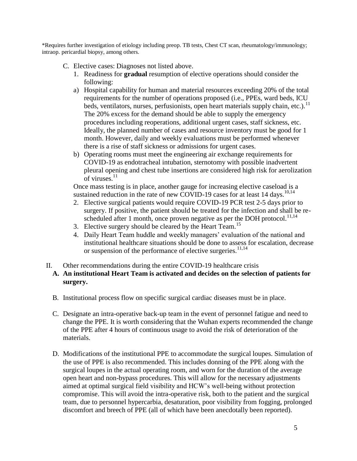\*Requires further investigation of etiology including preop. TB tests, Chest CT scan, rheumatology/immunology; intraop. pericardial biopsy, among others.

- C. Elective cases: Diagnoses not listed above.
	- 1. Readiness for **gradual** resumption of elective operations should consider the following:
	- a) Hospital capability for human and material resources exceeding 20% of the total requirements for the number of operations proposed (i.e., PPEs, ward beds, ICU beds, ventilators, nurses, perfusionists, open heart materials supply chain, etc.).<sup>11</sup> The 20% excess for the demand should be able to supply the emergency procedures including reoperations, additional urgent cases, staff sickness, etc. Ideally, the planned number of cases and resource inventory must be good for 1 month. However, daily and weekly evaluations must be performed whenever there is a rise of staff sickness or admissions for urgent cases.
	- b) Operating rooms must meet the engineering air exchange requirements for COVID-19 as endotracheal intubation, sternotomy with possible inadvertent pleural opening and chest tube insertions are considered high risk for aerolization of viruses. $^{11}$

Once mass testing is in place, another gauge for increasing elective caseload is a sustained reduction in the rate of new COVID-19 cases for at least 14 days.<sup>10,14</sup>

- 2. Elective surgical patients would require COVID-19 PCR test 2-5 days prior to surgery. If positive, the patient should be treated for the infection and shall be rescheduled after 1 month, once proven negative as per the DOH protocol.<sup>11,14</sup>
- 3. Elective surgery should be cleared by the Heart Team.<sup>15</sup>
- 4. Daily Heart Team huddle and weekly managers' evaluation of the national and institutional healthcare situations should be done to assess for escalation, decrease or suspension of the performance of elective surgeries. $11,14$
- II. Other recommendations during the entire COVID-19 healthcare crisis

## **A. An institutional Heart Team is activated and decides on the selection of patients for surgery.**

- B. Institutional process flow on specific surgical cardiac diseases must be in place.
- C. Designate an intra-operative back-up team in the event of personnel fatigue and need to change the PPE. It is worth considering that the Wuhan experts recommended the change of the PPE after 4 hours of continuous usage to avoid the risk of deterioration of the materials.
- D. Modifications of the institutional PPE to accommodate the surgical loupes. Simulation of the use of PPE is also recommended. This includes donning of the PPE along with the surgical loupes in the actual operating room, and worn for the duration of the average open heart and non-bypass procedures. This will allow for the necessary adjustments aimed at optimal surgical field visibility and HCW's well-being without protection compromise. This will avoid the intra-operative risk, both to the patient and the surgical team, due to personnel hypercarbia, desaturation, poor visibility from fogging, prolonged discomfort and breech of PPE (all of which have been anecdotally been reported).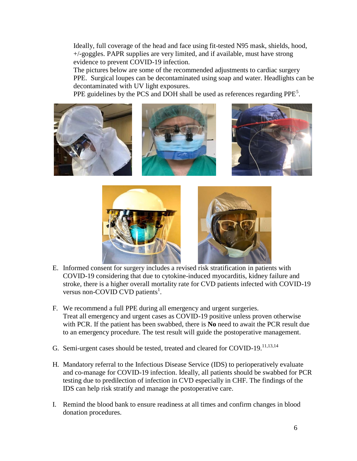Ideally, full coverage of the head and face using fit-tested N95 mask, shields, hood, +/-goggles. PAPR supplies are very limited, and if available, must have strong evidence to prevent COVID-19 infection.

The pictures below are some of the recommended adjustments to cardiac surgery PPE. Surgical loupes can be decontaminated using soap and water. Headlights can be decontaminated with UV light exposures.

PPE guidelines by the PCS and DOH shall be used as references regarding  $PPE<sup>5</sup>$ .





- E. Informed consent for surgery includes a revised risk stratification in patients with COVID-19 considering that due to cytokine-induced myocarditis, kidney failure and stroke, there is a higher overall mortality rate for CVD patients infected with COVID-19 versus non-COVID CVD patients<sup>1</sup>.
- F. We recommend a full PPE during all emergency and urgent surgeries. Treat all emergency and urgent cases as COVID-19 positive unless proven otherwise with PCR. If the patient has been swabbed, there is **No** need to await the PCR result due to an emergency procedure. The test result will guide the postoperative management.
- G. Semi-urgent cases should be tested, treated and cleared for COVID-19.<sup>11,13,14</sup>
- H. Mandatory referral to the Infectious Disease Service (IDS) to perioperatively evaluate and co-manage for COVID-19 infection. Ideally, all patients should be swabbed for PCR testing due to predilection of infection in CVD especially in CHF. The findings of the IDS can help risk stratify and manage the postoperative care.
- I. Remind the blood bank to ensure readiness at all times and confirm changes in blood donation procedures.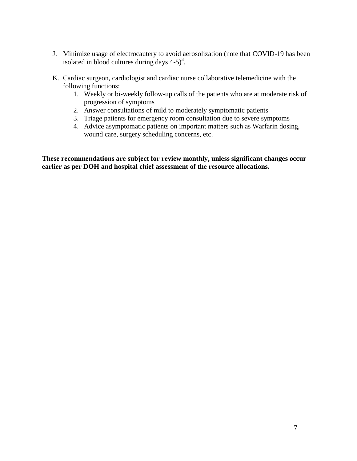- J. Minimize usage of electrocautery to avoid aerosolization (note that COVID-19 has been isolated in blood cultures during days  $4-5$ <sup>3</sup>.
- K. Cardiac surgeon, cardiologist and cardiac nurse collaborative telemedicine with the following functions:
	- 1. Weekly or bi-weekly follow-up calls of the patients who are at moderate risk of progression of symptoms
	- 2. Answer consultations of mild to moderately symptomatic patients
	- 3. Triage patients for emergency room consultation due to severe symptoms
	- 4. Advice asymptomatic patients on important matters such as Warfarin dosing, wound care, surgery scheduling concerns, etc.

**These recommendations are subject for review monthly, unless significant changes occur earlier as per DOH and hospital chief assessment of the resource allocations.**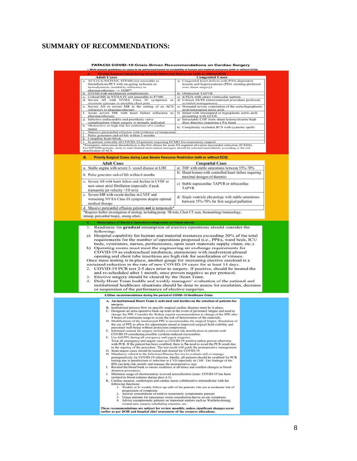#### **SUMMARY OF RECOMMENDATIONS:**

#### PATACSI COVID-19 Crisis-Driven Recommendations on Cardiac Surgery ines on cases to be performed based on availability of human and material reso

**Congenital Cases Adult Cases**<br>ACS (UA/NSTEMI, STEMI) not amenable to **Congenital Cases**<br>Congenital heart defects with PDA-dependent<br>lesions and hypercyanosis (PDA stenting preferred<br>over shunt surgery) a. ACS (UA/NSTEMI, STEMI) not amenable to<br>thrombolysis/PCI with on-going ischemia or<br>hemodynamic instability refractory to<br>harmacotherapy  $+/-1$  ABP<br>b. STEMI with mechanical complications<br>c. Critical MS in NYHA IV not amen b) Obstructed TAPVR<br>
c) d-TGA with intact ventricular septum<br>
d) Critical AS/PS (interventional procedure preferred as initial management)<br>e) Neonatal severe coarctation of the aorta/hypoplastic arch/interrupted aortic arch<br>
f) Infant with interrupted or hypoplastic arch<br>
f) Infant with interrupted or hypoplastic aortic arch<br>
presenting with LCOS<br>
g) Intractable CHF from shunt lesions despite high refractory to pharmacotherapy<br>Acute severe MR with heart failure refractory to  $\overline{f}$ pharmacotherapy<br>Infective endocarditis and prosthetic valve  $\overline{g}$ . complications where surgery is strongly indicated<br>Obstructive or high risk for embolism of a cardiac dose diuretics requiring a PA band  $\overline{h}$ h) Completely occluded BTS with cyanotic spells A Costructive or high risk for embolism of a cardiac<br>
in Completely occluded BTS with cyanotic spell<br>
i. Massive pericardial effusion with evidence of tamponade<br>
i. Pulse generator end-of life within 2 months<br>
k. Complete Priority Surgical Cases during Less Severe Resource Restriction (with or without ECQ) **B. Adult Cases Congenital Cases** a. Stable angina with severe 3- vessel disease or LMI a) TOF with stable saturations between 55%-70% b) Shunt lesions with controlled heart failure requiring b. Pulse generator end-of life within 6 months maximal dosages of diuretics Severe AS with heart failure and decline in LVEF or  $\mathbf{c}$ . c) Stable supracardiac TAPVR or infracardiac new-onset atrial fibrillation (especially if peak **TAPVR** transaortic jet velocity >5.0 m/s) c. Severe MR with recent decline in LVEF and d) Single ventricle physiology with stable saturations worsening NYHA Class III symptoms despite optimal between 55%-70% for first surgical palliation medical therapy d. Massive pericardial effusion patients not in tamponade \*Requires further investigation of etiology including preop. TB tests, Chest CT scan, rheumatology/immunology; intraop. pericardial biopsy, among others. Readiness for gradual resumption of elective operations should consider the  $\overline{1}$ . following: a) Hospital capability for human and material resources exceeding 20% of the total requirements for the number of operations proposed (i.e., PPEs, ward beds, ICU beds, ventilators, nurses, perfusionists, open heart materials supply chain, etc.).  $<sub>b</sub>$ </sub> Operating rooms must meet the engineering air exchange requirements for COVID-19 as endotracheal intubation, sternotomy with inadvertent pleural opening and chest tube insertions are high risk for aerolization of viruses Once mass testing is in place, another gauge for increasing elective caseload is a sustained reduction in the rate of new COVID-19 cases for at least 14 days. COVID-19 PCR test 2-5 days prior to surgery. If positive, should be treated the<br>and re-scheduled after 1 month, once proven negative as per protocol.<br>Elective surgery should be cleared by the Heart Team.  $\overline{2}$ .  $\overline{4}$ . Daily Heart Team huddle and weekly managers' evaluation of the national and institutional healthcare situations should be done to assess for escalation, decrease or suspension of the performance of elective surgeries. II.Other recommendations during the period of COVID-19 Healthcare Crisis A. An institutional Heart Team is activated and decides on the selection of patients for surgery.<br>Institutional process flow on specific surgical cardiac diseases must be in place. **Streety.**<br> **Example 11**<br> **Example 1**<br> **Example 1**<br> **Example 2**<br> **Example and mind-operative back-** by team in the event of personnel fatigue and need to<br>
Designate an intra-operative back-only density consider the Wuhan e D  $\mathbf{F}$ G.<br>H. Ī. Minimize usage of electrocautery to avoid aerosolization (note: COVID-19 has been J. Minimize usage of electrocatiery to avoid aerosotization (note: COVID-19 has been<br>isolated in blood cultures during days 4-5).<br>Cardiac surgeon, cardiologist and cardiac nurse collaborative telemedicine with the<br>Cardiac sur K. Triage patients for emergency room consultation due to severe symptoms<br>Triage patients for emergency room consultation due to severe symptoms<br>Advice asymptomsic patients on important matters such as Warfarin dosing,<br>wound  $\frac{3}{4}$ These recommendations are subject for review monthly, unless significant changes occur earlier as per DOH and hospital chief assessment of the resource allocation